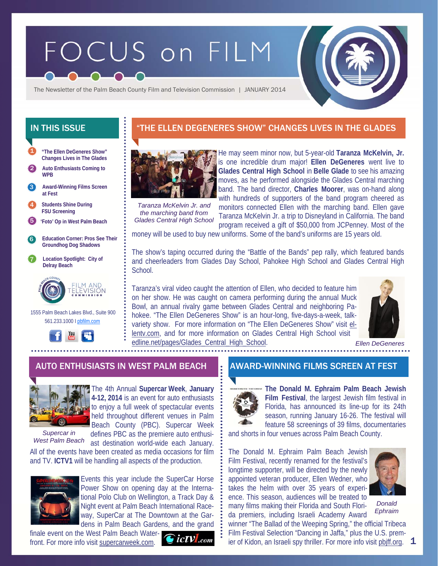# FOCUS on FILM



The Newsletter of the Palm Beach County Film and Television Commission | JANUARY 2014

**"The Ellen DeGeneres Show" Changes Lives in The Glades**  1

2 **Auto Enthusiasts Coming to WPB** 

**Award-Winning Films Screen at Fest**  3

4 **Students Shine During FSU Screening** 

- 5 **'Foto' Op in West Palm Beach**
- 6 **Education Corner: Pros See Their Groundhog Dog Shadows**
- 7 **Location Spotlight: City of Delray Beach**



 1555 Palm Beach Lakes Blvd., Suite 900 561.233.1000 I pbfilm.com



# IN THIS ISSUE **THE THE ELLEN DEGENERES SHOW" CHANGES LIVES IN THE GLADES**



He may seem minor now, but 5-year-old **Taranza McKelvin, Jr.**  is one incredible drum major! **Ellen DeGeneres** went live to **Glades Central High School** in **Belle Glade** to see his amazing moves, as he performed alongside the Glades Central marching band. The band director, **Charles Moorer**, was on-hand along with hundreds of supporters of the band program cheered as

*Taranza McKelvin Jr. and the marching band from Glades Central High School* 

monitors connected Ellen with the marching band. Ellen gave Taranza McKelvin Jr. a trip to Disneyland in California. The band program received a gift of \$50,000 from JCPenney. Most of the

money will be used to buy new uniforms. Some of the band's uniforms are 15 years old.

The show's taping occurred during the "Battle of the Bands" pep rally, which featured bands and cheerleaders from Glades Day School, Pahokee High School and Glades Central High **School** 

Taranza's viral video caught the attention of Ellen, who decided to feature him on her show. He was caught on camera performing during the annual Muck Bowl, an annual rivalry game between Glades Central and neighboring Pahokee. "The Ellen DeGeneres Show" is an hour-long, five-days-a-week, talkvariety show. For more information on "The Ellen DeGeneres Show" visit ellentv.com, and for more information on Glades Central High School visit edline.net/pages/Glades\_Central\_High\_School.



*Ellen DeGeneres* 

# AUTO ENTHUSIASTS IN WEST PALM BEACH AWARD-WINNING FILMS SCREEN AT FEST



The 4th Annual **Supercar Week**, **January 4-12, 2014** is an event for auto enthusiasts to enjoy a full week of spectacular events held throughout different venues in Palm Beach County (PBC). Supercar Week

*Supercar in West Palm Beach* 

defines PBC as the premiere auto enthusiast destination world-wide each January.

All of the events have been created as media occasions for film and TV. **ICTV1** will be handling all aspects of the production.



Events this year include the SuperCar Horse Power Show on opening day at the International Polo Club on Wellington, a Track Day & Night event at Palm Beach International Raceway, SuperCar at The Downtown at the Gardens in Palm Beach Gardens, and the grand

finale event on the West Palm Beach Waterfront. For more info visit supercarweek.com.





**The Donald M. Ephraim Palm Beach Jewish Film Festival**, the largest Jewish film festival in Florida, has announced its line-up for its 24th season, running January 16-26. The festival will feature 58 screenings of 39 films, documentaries

and shorts in four venues across Palm Beach County.

The Donald M. Ephraim Palm Beach Jewish Film Festival, recently renamed for the festival's longtime supporter, will be directed by the newly appointed veteran producer, Ellen Wedner, who takes the helm with over 35 years of experience. This season, audiences will be treated to many films making their Florida and South Florida premiers, including Israeli Academy Award



*Donald Ephraim* 

1

winner "The Ballad of the Weeping Spring," the official Tribeca Film Festival Selection "Dancing in Jaffa," plus the U.S. premier of Kidon, an Israeli spy thriller. For more info visit pbjff.org.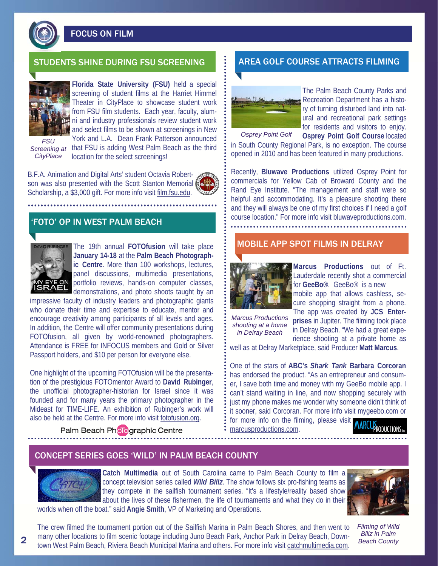

FOCUS ON FILM

### STUDENTS SHINE DURING FSU SCREENING **AREA GOLF COURSE ATTRACTS FILMING**



**Florida State University (FSU)** held a special screening of student films at the Harriet Himmel Theater in CityPlace to showcase student work from FSU film students. Each year, faculty, alumni and industry professionals review student work and select films to be shown at screenings in New

*FSU CityPlace* 

York and L.A. Dean Frank Patterson announced Screening at that FSU is adding West Palm Beach as the third location for the select screenings!

B.F.A. Animation and Digital Arts' student Octavia Robertson was also presented with the Scott Stanton Memorial Scholarship, a \$3,000 gift. For more info visit film.fsu.edu.

# 'FOTO' OP IN WEST PALM BEACH



The 19th annual **FOTOfusion** will take place **January 14-18** at the **Palm Beach Photographic Centre**. More than 100 workshops, lectures, panel discussions, multimedia presentations, portfolio reviews, hands-on computer classes, demonstrations, and photo shoots taught by an

impressive faculty of industry leaders and photographic giants who donate their time and expertise to educate, mentor and encourage creativity among participants of all levels and ages. In addition, the Centre will offer community presentations during FOTOfusion, all given by world-renowned photographers. Attendance is FREE for INFOCUS members and Gold or Silver Passport holders, and \$10 per person for everyone else.

One highlight of the upcoming FOTOfusion will be the presentation of the prestigious FOTOmentor Award to **David Rubinger**, the unofficial photographer-historian for Israel since it was founded and for many years the primary photographer in the Mideast for TIME-LIFE. An exhibition of Rubinger's work will also be held at the Centre. For more info visit fotofusion.org.

Palm Beach Pholographic Centre



The Palm Beach County Parks and Recreation Department has a history of turning disturbed land into natural and recreational park settings for residents and visitors to enjoy. **Osprey Point Golf Course** located

in South County Regional Park, is no exception. The course opened in 2010 and has been featured in many productions.

Recently, **Bluwave Productions** utilized Osprey Point for commercials for Yellow Cab of Broward County and the Rand Eye Institute. "The management and staff were so helpful and accommodating. It's a pleasure shooting there and they will always be one of my first choices if I need a golf course location." For more info visit bluwaveproductions.com.

### MOBILE APP SPOT FILMS IN DELRAY



**Marcus Productions** out of Ft. Lauderdale recently shot a commercial for **GeeBo®**.GeeBo® is a new mobile app that allows cashless, secure shopping straight from a phone.

*Marcus Productions shooting at a home in Delray Beach* 

The app was created by **JCS Enterprises** in Jupiter. The filming took place in Delray Beach. "We had a great experience shooting at a private home as

well as at Delray Marketplace, said Producer **Matt Marcus**.

One of the stars of **ABC's** *Shark Tank* **Barbara Corcoran**  has endorsed the product. "As an entrepreneur and consumer, I save both time and money with my GeeBo mobile app. I can't stand waiting in line, and now shopping securely with just my phone makes me wonder why someone didn't think of it sooner, said Corcoran. For more info visit mygeebo.com or for more info on the filming, please visit

marcusproductions.com.

### CONCEPT SERIES GOES 'WILD' IN PALM BEACH COUNTY



**Catch Multimedia** out of South Carolina came to Palm Beach County to film a concept television series called *Wild Billz*. The show follows six pro-fishing teams as they compete in the sailfish tournament series. "It's a lifestyle/reality based show about the lives of these fishermen, the life of tournaments and what they do in their worlds when off the boat." said **Angie Smith**, VP of Marketing and Operations.



*Filming of Wild Billz in Palm Beach County* 

The crew filmed the tournament portion out of the Sailfish Marina in Palm Beach Shores, and then went to many other locations to film scenic footage including Juno Beach Park, Anchor Park in Delray Beach, Downtown West Palm Beach, Riviera Beach Municipal Marina and others. For more info visit catchmultimedia.com.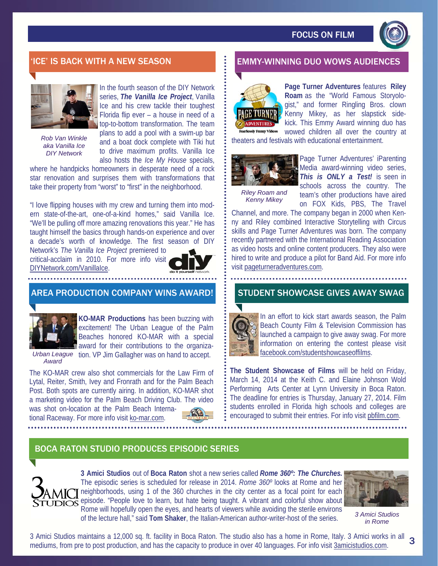

*Rob Van Winkle aka Vanilla Ice DIY Network* 

In the fourth season of the DIY Network series, *The Vanilla Ice Project*, Vanilla Ice and his crew tackle their toughest Florida flip ever – a house in need of a top-to-bottom transformation. The team plans to add a pool with a swim-up bar and a boat dock complete with Tiki hut to drive maximum profits. Vanilla Ice also hosts the *Ice My House* specials,

where he handpicks homeowners in desperate need of a rock star renovation and surprises them with transformations that take their property from "worst" to "first" in the neighborhood.

"I love flipping houses with my crew and turning them into modern state-of-the-art, one-of-a-kind homes," said Vanilla Ice. "We'll be pulling off more amazing renovations this year." He has taught himself the basics through hands-on experience and over a decade's worth of knowledge. The first season of DIY

Network's *The Vanilla Ice Project* premiered to critical-acclaim in 2010. For more info visit DIYNetwork.com/VanillaIce.



### AREA PRODUCTION COMPANY WINS AWARD!



**KO-MAR Productions** has been buzzing with excitement! The Urban League of the Palm Beaches honored KO-MAR with a special award for their contributions to the organiza-

Urban League tion. VP Jim Gallagher was on hand to accept. *Award* 

The KO-MAR crew also shot commercials for the Law Firm of Lytal, Reiter, Smith, Ivey and Fronrath and for the Palm Beach Post. Both spots are currently airing. In addition, KO-MAR shot a marketing video for the Palm Beach Driving Club. The video was shot on-location at the Palm Beach International Raceway. For more info visit ko-mar.com.



# 'ICE' IS BACK WITH A NEW SEASON EMMITTEE REMMY-WINNING DUO WOWS AUDIENCES



**Page Turner Adventures** features **Riley Roam** as the "World Famous Storyologist," and former Ringling Bros. clown Kenny Mikey, as her slapstick sidekick. This Emmy Award winning duo has wowed children all over the country at

theaters and festivals with educational entertainment.



*Riley Roam and Kenny Mikey* 

Page Turner Adventures' iParenting Media award-winning video series, *This is ONLY a Test!* is seen in schools across the country. The team's other productions have aired on FOX Kids, PBS, The Travel

Channel, and more. The company began in 2000 when Kenny and Riley combined Interactive Storytelling with Circus skills and Page Turner Adventures was born. The company recently partnered with the International Reading Association as video hosts and online content producers. They also were hired to write and produce a pilot for Band Aid. For more info visit pageturneradventures.com.

### STUDENT SHOWCASE GIVES AWAY SWAG



In an effort to kick start awards season, the Palm Beach County Film & Television Commission has launched a campaign to give away swag. For more information on entering the contest please visit facebook.com/studentshowcaseoffilms.

**The Student Showcase of Films** will be held on Friday, March 14, 2014 at the Keith C. and Elaine Johnson Wold Performing Arts Center at Lynn University in Boca Raton. The deadline for entries is Thursday, January 27, 2014. Film students enrolled in Florida high schools and colleges are encouraged to submit their entries. For info visit pbfilm.com.

# BOCA RATON STUDIO PRODUCES EPISODIC SERIES



**3 Amici Studios** out of **Boca Raton** shot a new series called *Rome 360º: The Churches.*  The episodic series is scheduled for release in 2014. *Rome 360º* looks at Rome and her neighborhoods, using 1 of the 360 churches in the city center as a focal point for each TUDIOS episode. "People love to learn, but hate being taught. A vibrant and colorful show about Rome will hopefully open the eyes, and hearts of viewers while avoiding the sterile environs of the lecture hall," said **Tom Shaker**, the Italian-American author-writer-host of the series.



*3 Amici Studios in Rome* 

3 Amici Studios maintains a 12,000 sq. ft. facility in Boca Raton. The studio also has a home in Rome, Italy. 3 Amici works in all mediums, from pre to post production, and has the capacity to produce in over 40 languages. For info visit 3amicistudios.com. 3